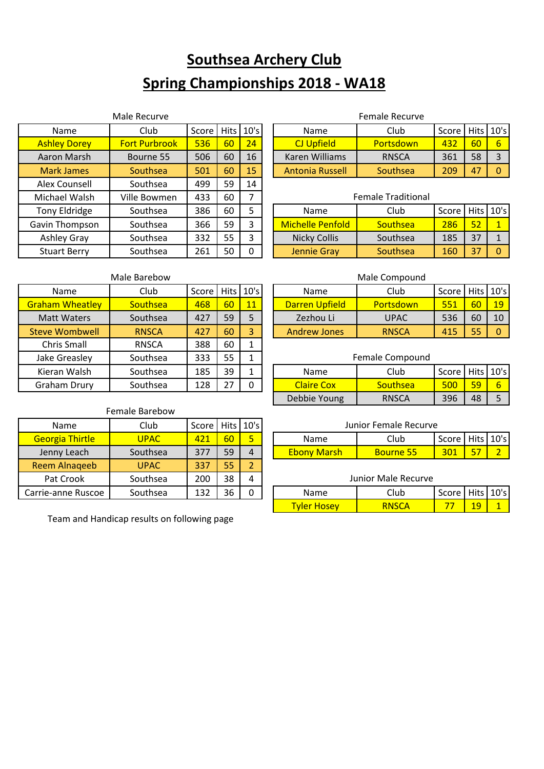# **Southsea Archery Club Spring Championships 2018 - WA18**

|                     | Male Recurve         |       |             |             |                         | <b>Female Recurve</b>     |       |             |    |
|---------------------|----------------------|-------|-------------|-------------|-------------------------|---------------------------|-------|-------------|----|
| <b>Name</b>         | Club                 | Score | <b>Hits</b> | 10's        | Name                    | Club                      | Score | <b>Hits</b> | 10 |
| <b>Ashley Dorey</b> | <b>Fort Purbrook</b> | 536   | 60          | 24          | <b>CJ Upfield</b>       | Portsdown                 | 432   | 60          | 6  |
| Aaron Marsh         | Bourne 55            | 506   | 60          | 16          | Karen Williams          | <b>RNSCA</b>              | 361   | 58          |    |
| <b>Mark James</b>   | Southsea             | 501   | 60          | 15          | Antonia Russell         | Southsea                  | 209   | 47          | 0  |
| Alex Counsell       | Southsea             | 499   | 59          | 14          |                         |                           |       |             |    |
| Michael Walsh       | Ville Bowmen         | 433   | 60          | 7           |                         | <b>Female Traditional</b> |       |             |    |
| Tony Eldridge       | Southsea             | 386   | 60          | 5           | Name                    | Club                      | Score | Hits 10     |    |
| Gavin Thompson      | Southsea             | 366   | 59          | 3           | <b>Michelle Penfold</b> | Southsea                  | 286   | 52          |    |
| Ashley Gray         | Southsea             | 332   | 55          | 3           | <b>Nicky Collis</b>     | Southsea                  | 185   | 37          |    |
| <b>Stuart Berry</b> | Southsea             | 261   | 50          | $\mathbf 0$ | <b>Jennie Gray</b>      | Southsea                  | 160   | 37          | 0  |

#### Female Recurve

| Name                | Club                 | Score   Hits |    | 10's            | Name                   | Club             | Score L     |    | Hits   10's |
|---------------------|----------------------|--------------|----|-----------------|------------------------|------------------|-------------|----|-------------|
| <b>Ashley Dorey</b> | <b>Fort Purbrook</b> | 536          | 60 | 24 <sup>1</sup> | CJ Upfield             | <b>Portsdown</b> | $\sqrt{43}$ | 60 |             |
| Aaron Marsh         | Bourne 55            | 506          | 60 | 16              | Karen Williams         | <b>RNSCA</b>     | 361         | 58 |             |
| <b>Mark James</b>   | Southsea             | 501          | 60 | 15              | <b>Antonia Russell</b> | Southsea         | 209         | 47 |             |

| Michael Walsh       | Ville Bowmen | 433 | 60 |   |                         | <b>Female Traditional</b> |         |             |  |
|---------------------|--------------|-----|----|---|-------------------------|---------------------------|---------|-------------|--|
| Tony Eldridge       | Southsea     | 386 | 60 |   | Name                    | Club                      | Score l | Hits   10's |  |
| avin Thompson       | Southsea     | 366 | 59 |   | <b>Michelle Penfold</b> | <b>Southsea</b>           | 286     | 52          |  |
| Ashley Gray         | Southsea     | 332 | 55 |   | <b>Nicky Collis</b>     | Southsea                  | 185     | 37          |  |
| <b>Stuart Berry</b> | Southsea     | 261 | 50 | 0 | Jennie Gray             | Southsea                  | 160     | 37          |  |

### Male Barebow

| Name                   | Club         | Score |    | $Hits$ 10's  | Name                  | Club            | Score I | <b>Hits</b> 10' |          |
|------------------------|--------------|-------|----|--------------|-----------------------|-----------------|---------|-----------------|----------|
| <b>Graham Wheatley</b> | Southsea     | 468   | 60 | 11           | <b>Darren Upfield</b> | Portsdown       | 551     | 60              | 19       |
| <b>Matt Waters</b>     | Southsea     | 427   | 59 | 5            | Zezhou Li             | <b>UPAC</b>     | 536     | 60              | 10       |
| <b>Steve Wombwell</b>  | <b>RNSCA</b> | 427   | 60 | $\mathbf{3}$ | <b>Andrew Jones</b>   | <b>RNSCA</b>    | 415     | 55              | $\Omega$ |
| <b>Chris Small</b>     | <b>RNSCA</b> | 388   | 60 |              |                       |                 |         |                 |          |
| Jake Greasley          | Southsea     | 333   | 55 |              |                       | Female Compound |         |                 |          |
| Kieran Walsh           | Southsea     | 185   | 39 |              | Name                  | Club            | Score   | <b>Hits</b> 10' |          |
| <b>Graham Drury</b>    | Southsea     | 128   | 27 | 0            | <b>Claire Cox</b>     | Southsea        | 500     | 59              | 6        |

|               | Male Barebow    |                     |    |               |                     | Male Compound |       |           |             |
|---------------|-----------------|---------------------|----|---------------|---------------------|---------------|-------|-----------|-------------|
| Name          | Club            | Score   Hits   10's |    |               | Name                | Club          | Score |           | Hits   10's |
| aham Wheatlev | <b>Southsea</b> | 468                 | 60 | 11            | Darren Upfield      | Portsdown     | 551   | <b>60</b> | 19          |
| Matt Waters   | Southsea        | 427                 | 59 |               | Zezhou Li           | <b>UPAC</b>   | 536   | 60        | 10          |
| eve Wombwell  | <b>RNSCA</b>    | 427                 | 60 | $\mathcal{L}$ | <b>Andrew Jones</b> | <b>RNSCA</b>  | 415   | 55        |             |

# Kieran Walsh | Southsea | 185 | 39 | 1 | | | Name | | | Club | | | Score | Hits | 10's Graham Drury | Southsea | 128 | 27 | 0 | | Claire Cox | Southsea | 500 | 59 | 6 Debbie Young | RNSCA | 396 | 48 | 5 Female Compound

## Name | Club | Score | Hits | 10's Georgia Thirtle  $\begin{array}{|c|c|c|c|c|c|c|c|c|}\n\hline\n\text{Georgia Thirtle} & \text{UPAC} & \text{421} & 60 & 5\n\end{array}$ Jenny Leach | Southsea | 377 | 59 | 4 Reem Alnaqeeb | UPAC | 337 | 55 | 2 Pat Crook | Southsea | 200 | 38 | 4 Female Barebow

Team and Handicap results on following page

Carrie-anne Ruscoe | Southsea | 132 | 36 | 0

#### Junior Female Recurve

| Namel              |           | Score   Hits   10's |  |
|--------------------|-----------|---------------------|--|
| <b>Fhony Marsh</b> | Rourne 55 |                     |  |

#### Junior Male Recurve

| Name                 | Score   Hits   10's |  |
|----------------------|---------------------|--|
| Hosey<br><u>vier</u> |                     |  |